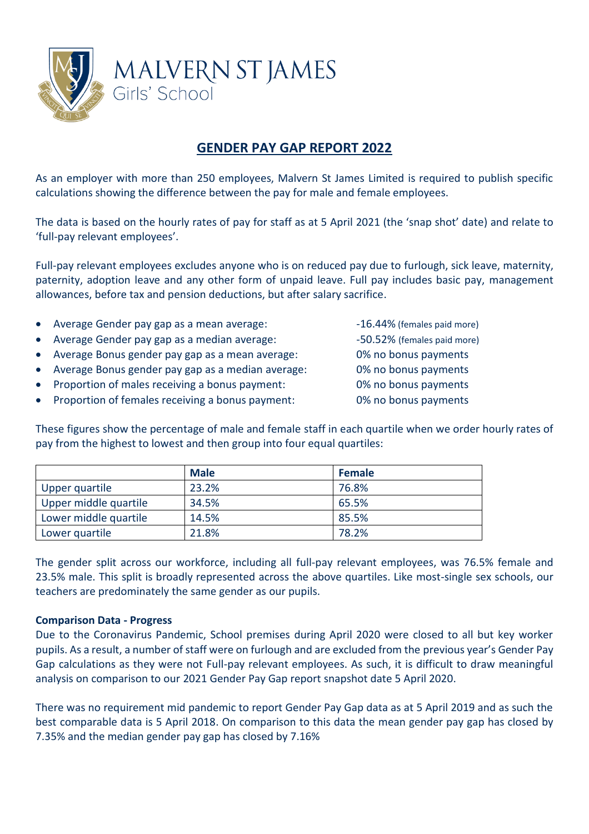

## **GENDER PAY GAP REPORT 2022**

As an employer with more than 250 employees, Malvern St James Limited is required to publish specific calculations showing the difference between the pay for male and female employees.

The data is based on the hourly rates of pay for staff as at 5 April 2021 (the 'snap shot' date) and relate to 'full-pay relevant employees'.

Full-pay relevant employees excludes anyone who is on reduced pay due to furlough, sick leave, maternity, paternity, adoption leave and any other form of unpaid leave. Full pay includes basic pay, management allowances, before tax and pension deductions, but after salary sacrifice.

- Average Gender pay gap as a mean average:  $16.44\%$  (females paid more)
- Average Gender pay gap as a median average: -50.52% (females paid more)
- Average Bonus gender pay gap as a mean average: 0% no bonus payments
- Average Bonus gender pay gap as a median average: 0% no bonus payments
- Proportion of males receiving a bonus payment: 0% no bonus payments
- Proportion of females receiving a bonus payment: 0% no bonus payments

These figures show the percentage of male and female staff in each quartile when we order hourly rates of pay from the highest to lowest and then group into four equal quartiles:

|                       | <b>Male</b> | <b>Female</b> |
|-----------------------|-------------|---------------|
| Upper quartile        | 23.2%       | 76.8%         |
| Upper middle quartile | 34.5%       | 65.5%         |
| Lower middle quartile | 14.5%       | 85.5%         |
| Lower quartile        | 21.8%       | 78.2%         |

The gender split across our workforce, including all full-pay relevant employees, was 76.5% female and 23.5% male. This split is broadly represented across the above quartiles. Like most-single sex schools, our teachers are predominately the same gender as our pupils.

## **Comparison Data - Progress**

Due to the Coronavirus Pandemic, School premises during April 2020 were closed to all but key worker pupils. As a result, a number of staff were on furlough and are excluded from the previous year's Gender Pay Gap calculations as they were not Full-pay relevant employees. As such, it is difficult to draw meaningful analysis on comparison to our 2021 Gender Pay Gap report snapshot date 5 April 2020.

There was no requirement mid pandemic to report Gender Pay Gap data as at 5 April 2019 and as such the best comparable data is 5 April 2018. On comparison to this data the mean gender pay gap has closed by 7.35% and the median gender pay gap has closed by 7.16%